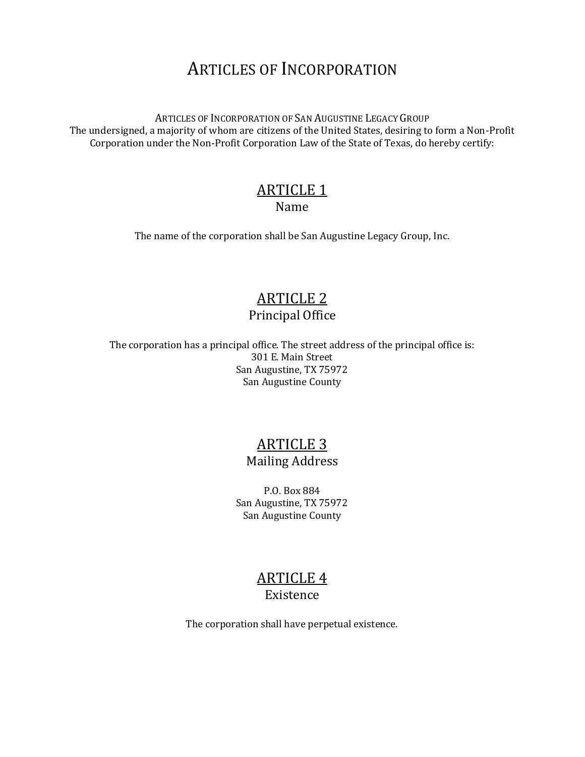# ARTICLES OF INCORPORATION

ARTICLES OF INCORPORATION OF SAN AUGUSTINE LEGACY GROUP The undersigned, a majority of whom are citizens of the United States, desiring to form a Non-Profit Corporation under the Non-Profit Corporation Law of the State of Texas, do hereby certify:

#### ARTICLE 1 Name

The name of the corporation shall be San Augustine Legacy Group, Inc.

### ARTICLE 2 Principal Office

The corporation has a principal office. The street address of the principal office is: 301 E. Main Street San Augustine, TX 75972 San Augustine County

### ARTICLE 3 Mailing Address

P.O. Box 884 San Augustine, TX 75972 San Augustine County

### ARTICLE 4 Existence

The corporation shall have perpetual existence.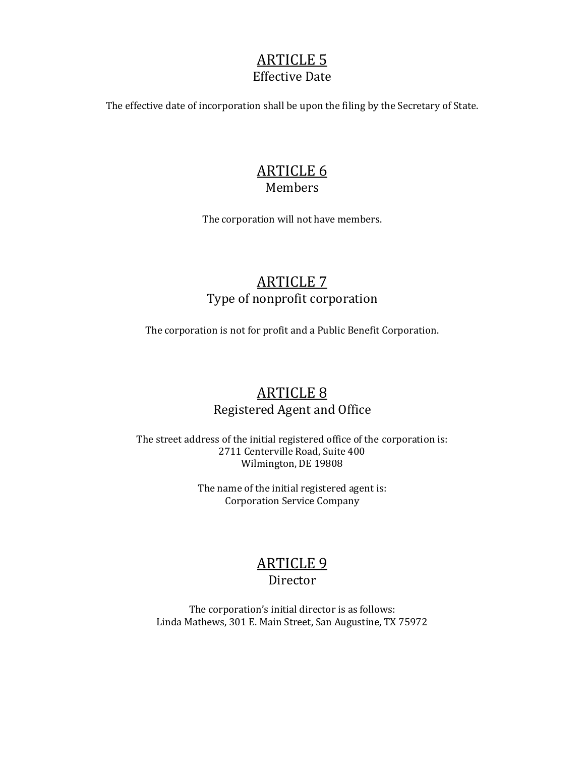#### ARTICLE 5 Effective Date

The effective date of incorporation shall be upon the filing by the Secretary of State.

#### ARTICLE 6 Members

The corporation will not have members.

## ARTICLE 7 Type of nonprofit corporation

The corporation is not for profit and a Public Benefit Corporation.

## ARTICLE 8 Registered Agent and Office

The street address of the initial registered office of the corporation is: 2711 Centerville Road, Suite 400 Wilmington, DE 19808

> The name of the initial registered agent is: Corporation Service Company

# ARTICLE 9

#### Director

The corporation's initial director is as follows: Linda Mathews, 301 E. Main Street, San Augustine, TX 75972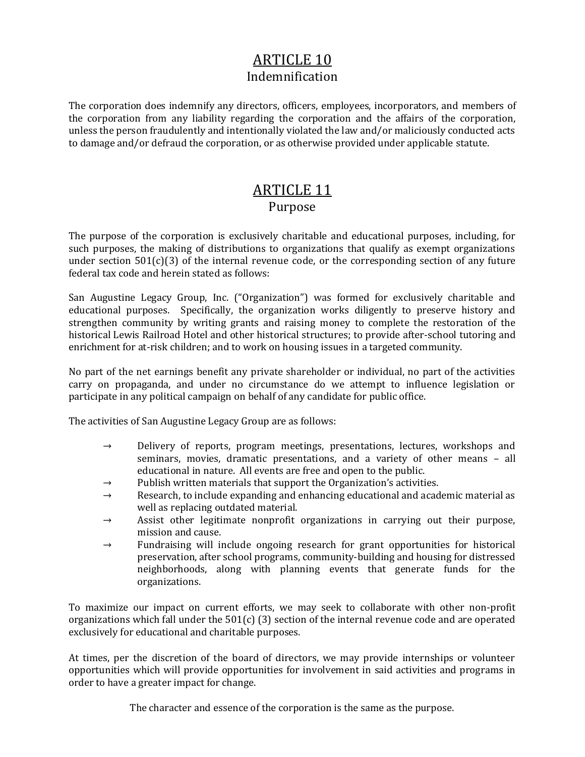## ARTICLE 10 Indemnification

The corporation does indemnify any directors, officers, employees, incorporators, and members of the corporation from any liability regarding the corporation and the affairs of the corporation, unless the person fraudulently and intentionally violated the law and/or maliciously conducted acts to damage and/or defraud the corporation, or as otherwise provided under applicable statute.

#### ARTICLE 11 Purpose

The purpose of the corporation is exclusively charitable and educational purposes, including, for such purposes, the making of distributions to organizations that qualify as exempt organizations under section  $501(c)(3)$  of the internal revenue code, or the corresponding section of any future federal tax code and herein stated as follows:

San Augustine Legacy Group, Inc. ("Organization") was formed for exclusively charitable and educational purposes. Specifically, the organization works diligently to preserve history and strengthen community by writing grants and raising money to complete the restoration of the historical Lewis Railroad Hotel and other historical structures; to provide after-school tutoring and enrichment for at-risk children; and to work on housing issues in a targeted community.

No part of the net earnings benefit any private shareholder or individual, no part of the activities carry on propaganda, and under no circumstance do we attempt to influence legislation or participate in any political campaign on behalf of any candidate for public office.

The activities of San Augustine Legacy Group are as follows:

- $\rightarrow$  Delivery of reports, program meetings, presentations, lectures, workshops and seminars, movies, dramatic presentations, and a variety of other means – all educational in nature. All events are free and open to the public.
- $\rightarrow$  Publish written materials that support the Organization's activities.
- $\rightarrow$  Research, to include expanding and enhancing educational and academic material as well as replacing outdated material.
- $\rightarrow$  Assist other legitimate nonprofit organizations in carrying out their purpose, mission and cause.
- $\rightarrow$  Fundraising will include ongoing research for grant opportunities for historical preservation, after school programs, community-building and housing for distressed neighborhoods, along with planning events that generate funds for the organizations.

To maximize our impact on current efforts, we may seek to collaborate with other non-profit organizations which fall under the 501(c) (3) section of the internal revenue code and are operated exclusively for educational and charitable purposes.

At times, per the discretion of the board of directors, we may provide internships or volunteer opportunities which will provide opportunities for involvement in said activities and programs in order to have a greater impact for change.

The character and essence of the corporation is the same as the purpose.